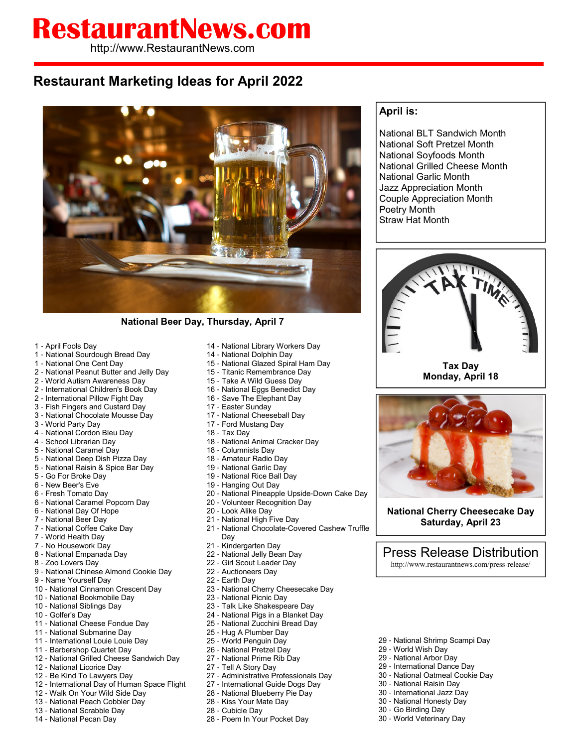## **RestaurantNews.com**

http://www.RestaurantNews.com

## **Restaurant Marketing Ideas for April 2022**



**National Beer Day, Thursday, April 7**

- April Fools Day
- National Sourdough Bread Day
- National One Cent Day
- National Peanut Butter and Jelly Day
- World Autism Awareness Day
- International Children's Book Day
- International Pillow Fight Day
- Fish Fingers and Custard Day
- National Chocolate Mousse Day
- World Party Day
- National Cordon Bleu Day
- School Librarian Day
- National Caramel Day
- National Deep Dish Pizza Day
- National Raisin & Spice Bar Day
- Go For Broke Day
- New Beer's Eve
- Fresh Tomato Day
- National Caramel Popcorn Day
- National Day Of Hope
- National Beer Day
- National Coffee Cake Day
- World Health Day
- No Housework Day
- National Empanada Day
- Zoo Lovers Day
- National Chinese Almond Cookie Day
- Name Yourself Day
- National Cinnamon Crescent Day
- National Bookmobile Day
- National Siblings Day
- Golfer's Day
- National Cheese Fondue Day
- National Submarine Day
- International Louie Louie Day - Barbershop Quartet Day
- 
- National Grilled Cheese Sandwich Day
- National Licorice Day
- Be Kind To Lawyers Day - International Day of Human Space Flight
- Walk On Your Wild Side Day
- National Peach Cobbler Day
- National Scrabble Day
- National Pecan Day
- National Library Workers Day
- National Dolphin Day
- National Glazed Spiral Ham Day
- Titanic Remembrance Day
- Take A Wild Guess Day
- National Eggs Benedict Day
- Save The Elephant Day
- Easter Sunday
- National Cheeseball Day
- Ford Mustang Day
- Tax Day
- National Animal Cracker Day
- Columnists Day
- Amateur Radio Day
- National Garlic Day
- National Rice Ball Day
- Hanging Out Day
- National Pineapple Upside-Down Cake Day
- Volunteer Recognition Day
- Look Alike Day
- National High Five Day
- National Chocolate-Covered Cashew Truffle Day
- Kindergarten Day
- National Jelly Bean Day
- Girl Scout Leader Day
- Auctioneers Day
- Earth Day
- National Cherry Cheesecake Day
- National Picnic Day
- Talk Like Shakespeare Day
- National Pigs in a Blanket Day
- National Zucchini Bread Day
- Hug A Plumber Day
- World Penguin Day
- National Pretzel Day
- National Prime Rib Day
- Tell A Story Day
- 27 Administrative Professionals Day
- International Guide Dogs Day
- National Blueberry Pie Day
- Kiss Your Mate Day
- Cubicle Day
- Poem In Your Pocket Day

## **April is:**

National BLT Sandwich Month National Soft Pretzel Month National Soyfoods Month National Grilled Cheese Month National Garlic Month Jazz Appreciation Month Couple Appreciation Month Poetry Month Straw Hat Month



**Tax Day Monday, April 18**



**National Cherry Cheesecake Day Saturday, April 23**

Press Release Distribution

http://www.restaurantnews.com/press-release/

- National Shrimp Scampi Day

- World Wish Day - National Arbor Day - International Dance Day - National Oatmeal Cookie Day

- National Raisin Day - International Jazz Day - National Honesty Day - Go Birding Day - World Veterinary Day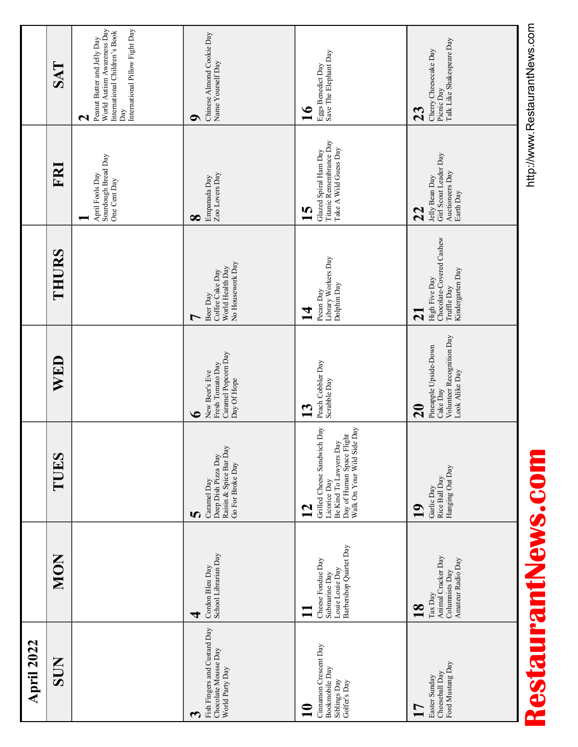| <b>April 2022</b>                                                                         |                                                                                                  |                                                                                                                                                             |                                                                                                  |                                                                                                         |                                                                                              |                                                                                                                                                              |
|-------------------------------------------------------------------------------------------|--------------------------------------------------------------------------------------------------|-------------------------------------------------------------------------------------------------------------------------------------------------------------|--------------------------------------------------------------------------------------------------|---------------------------------------------------------------------------------------------------------|----------------------------------------------------------------------------------------------|--------------------------------------------------------------------------------------------------------------------------------------------------------------|
| SUN                                                                                       | <b>MON</b>                                                                                       | TUES                                                                                                                                                        | WED                                                                                              | THURS                                                                                                   | FRI                                                                                          | SAT                                                                                                                                                          |
|                                                                                           |                                                                                                  |                                                                                                                                                             |                                                                                                  |                                                                                                         | Sourdough Bread Day<br>April Fools Day<br>One Cent Day                                       | World Autism Awareness Day<br>International Pillow Fight Day<br>International Children's Book<br>Peanut Butter and Jelly Day<br>Day<br>$\mathbf{\mathsf{N}}$ |
| Fish Fingers and Custard Day<br>Chocolate Mousse Day<br>World Party Day<br>3              | School Librarian Day<br>Cordon Bleu Day<br>₹                                                     | Raisin & Spice Bar Day<br>Deep Dish Pizza Day<br>Go For Broke Day<br>Caramel Day<br>5                                                                       | Caramel Popcorn Day<br>Fresh Tomato Day<br>New Beer's Eve<br>Day Of Hope<br>$\bullet$            | No Housework Day<br>World Health Day<br>Coffee Cake Day<br>Beer Day<br>1                                | Zoo Lovers Day<br>Empanada Day<br>$\infty$                                                   | Chinese Almond Cookie Day<br>Name Yourself Day<br>O                                                                                                          |
| Cinnamon Crescent Day<br>Bookmobile Day<br>Siblings Day<br>Golfer's Day<br>$\mathbf{\Xi}$ | Barbershop Quartet Day<br>Cheese Fondue Day<br>Louie Louie Day<br>Submarine Day                  | Grilled Cheese Sandwich Day<br>Day of Human Space Flight<br>Walk On Your Wild Side Day<br>Be Kind To Lawyers Day<br>Licorice Day<br>$\overline{\mathbf{1}}$ | Peach Cobbler Day<br>Scrabble Day<br>$\mathbf{13}$                                               | Library Workers Day<br>Dolphin Day<br>Pecan Day<br>$\mathbf{\mathbf{\Xi}}$                              | Titanic Remembrance Day<br>Take A Wild Guess Day<br>Glazed Spiral Ham Day<br>$\overline{15}$ | Save The Elephant Day<br>Eggs Benedict Day<br>$\mathbf{16}$                                                                                                  |
| Ford Mustang Day<br>Cheeseball Day<br>Easter Sunday<br>$\mathsf{L}$                       | Animal Cracker Day<br>Amateur Radio Day<br>Columnists Day<br>Tax Day<br>$\overline{\mathbf{18}}$ | Hanging Out Day<br>Rice Ball Day<br>Garlic Day<br>$\mathbf{19}$                                                                                             | Volunteer Recognition Day<br>Pineapple Upside-Down<br>Look Alike Day<br>Cake Day<br>$\mathbf{S}$ | Chocolate-Covered Cashew<br>Kindergarten Day<br>High Five Day<br>Truffle Day<br>$\overline{\mathbf{c}}$ | Girl Scout Leader Day<br>Auctioneers Day<br>Jelly Bean Day<br>Earth Day<br>22                | Talk Like Shakespeare Day<br>Cherry Cheesecake Day<br>Picnic Day<br>23                                                                                       |

RestaurantNewS.com **Infinitious** RestaurantNews.com

http://www.RestaurantNews.com